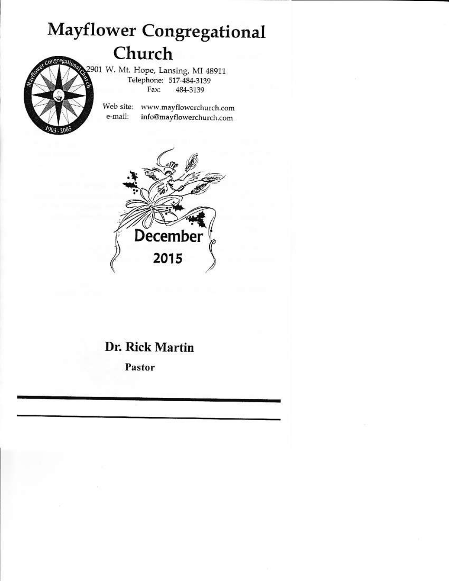# **Mayflower Congregational** Church

2901 W. Mt. Hope, Lansing, MI 48911 Telephone: 517-484-3139 Fax: 484-3139

Web site: www.mayflowerchurch.com e-mail: info@mayflowerchurch.com



# Dr. Rick Martin

Pastor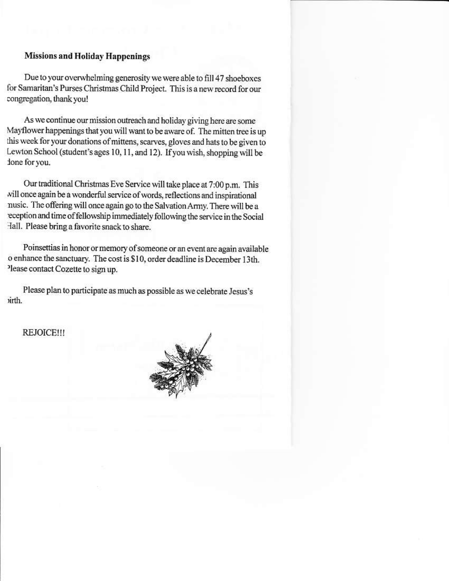# **Missions and Holiday Happenings**

Due to your overwhelming generosity we were able to fill 47 shoeboxes for Samaritan's Purses Christmas Child Project. This is a new record for our congregation, thank you!

As we continue our mission outreach and holiday giving here are some Mayflower happenings that you will want to be aware of. The mitten tree is up this week for your donations of mittens, scarves, gloves and hats to be given to Lewton School (student's ages 10, 11, and 12). If you wish, shopping will be ione for you.

Our traditional Christmas Eve Service will take place at 7:00 p.m. This will once again be a wonderful service of words, reflections and inspirational nusic. The offering will once again go to the Salvation Army. There will be a eception and time of fellowship immediately following the service in the Social Hall. Please bring a favorite snack to share.

Poinsettias in honor or memory of someone or an event are again available o enhance the sanctuary. The cost is \$10, order deadline is December 13th. Please contact Cozette to sign up.

Please plan to participate as much as possible as we celebrate Jesus's *virth*.

## **REJOICE!!!**

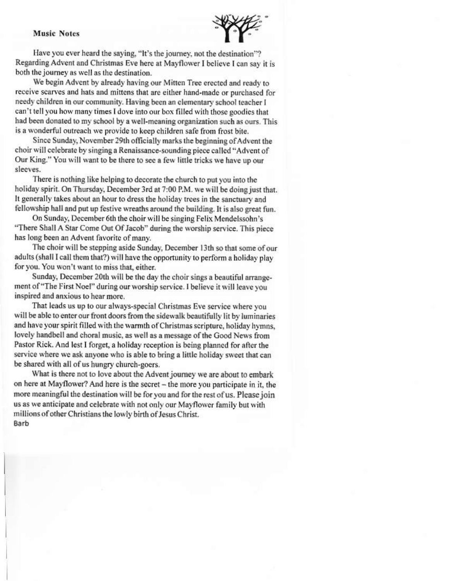#### **Music Notes**



Have you ever heard the saying, "It's the journey, not the destination"? Regarding Advent and Christmas Eve here at Mayflower I believe I can say it is both the journey as well as the destination.

We begin Advent by already having our Mitten Tree erected and ready to receive scarves and hats and mittens that are either hand-made or purchased for needy children in our community. Having been an elementary school teacher I can't tell you how many times I dove into our box filled with those goodies that had been donated to my school by a well-meaning organization such as ours. This is a wonderful outreach we provide to keep children safe from frost bite.

Since Sunday, November 29th officially marks the beginning of Advent the choir will celebrate by singing a Renaissance-sounding piece called "Advent of Our King." You will want to be there to see a few little tricks we have up our sleeves.

There is nothing like helping to decorate the church to put you into the holiday spirit. On Thursday, December 3rd at 7:00 P.M. we will be doing just that. It generally takes about an hour to dress the holiday trees in the sanctuary and fellowship hall and put up festive wreaths around the building. It is also great fun.

On Sunday, December 6th the choir will be singing Felix Mendelssohn's "There Shall A Star Come Out Of Jacob" during the worship service. This piece has long been an Advent favorite of many.

The choir will be stepping aside Sunday, December 13th so that some of our adults (shall I call them that?) will have the opportunity to perform a holiday play for you. You won't want to miss that, either.

Sunday, December 20th will be the day the choir sings a beautiful arrangement of "The First Noel" during our worship service. I believe it will leave you inspired and anxious to hear more.

That leads us up to our always-special Christmas Eve service where you will be able to enter our front doors from the sidewalk beautifully lit by luminaries and have your spirit filled with the warmth of Christmas scripture, holiday hymns, lovely handbell and choral music, as well as a message of the Good News from Pastor Rick. And lest I forget, a holiday reception is being planned for after the service where we ask anyone who is able to bring a little holiday sweet that can be shared with all of us hungry church-goers.

What is there not to love about the Advent journey we are about to embark on here at Mayflower? And here is the secret - the more you participate in it, the more meaningful the destination will be for you and for the rest of us. Please join us as we anticipate and celebrate with not only our Mayflower family but with millions of other Christians the lowly birth of Jesus Christ. Barb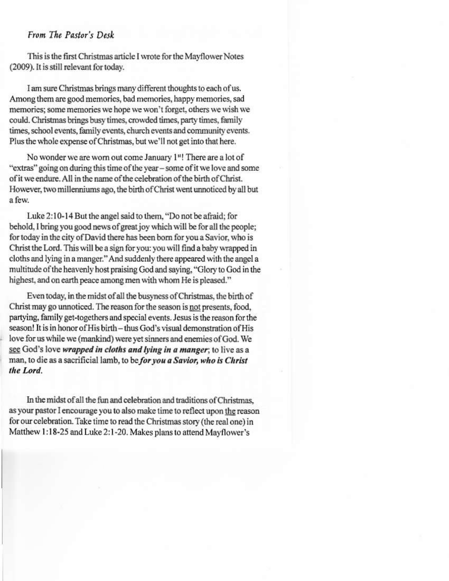# From The Pastor's Desk

This is the first Christmas article I wrote for the Mayflower Notes (2009). It is still relevant for today.

I am sure Christmas brings many different thoughts to each of us. Among them are good memories, bad memories, happy memories, sad memories; some memories we hope we won't forget, others we wish we could. Christmas brings busy times, crowded times, party times, family times, school events, family events, church events and community events. Plus the whole expense of Christmas, but we'll not get into that here.

No wonder we are worn out come January 1<sup>st</sup>! There are a lot of "extras" going on during this time of the year – some of it we love and some of it we endure. All in the name of the celebration of the birth of Christ. However, two millenniums ago, the birth of Christ went unnoticed by all but a few.

Luke 2:10-14 But the angel said to them, "Do not be afraid; for behold, I bring you good news of great joy which will be for all the people; for today in the city of David there has been born for you a Savior, who is Christ the Lord. This will be a sign for you: you will find a baby wrapped in cloths and lying in a manger." And suddenly there appeared with the angel a multitude of the heavenly host praising God and saving, "Glory to God in the highest, and on earth peace among men with whom He is pleased."

Even today, in the midst of all the busyness of Christmas, the birth of Christ may go unnoticed. The reason for the season is not presents, food, partying, family get-togethers and special events. Jesus is the reason for the season! It is in honor of His birth - thus God's visual demonstration of His love for us while we (mankind) were yet sinners and enemies of God. We see God's love wrapped in cloths and lying in a manger; to live as a man, to die as a sacrificial lamb, to be for you a Savior, who is Christ the Lord.

In the midst of all the fun and celebration and traditions of Christmas, as your pastor I encourage you to also make time to reflect upon the reason for our celebration. Take time to read the Christmas story (the real one) in Matthew 1:18-25 and Luke 2:1-20. Makes plans to attend Mayflower's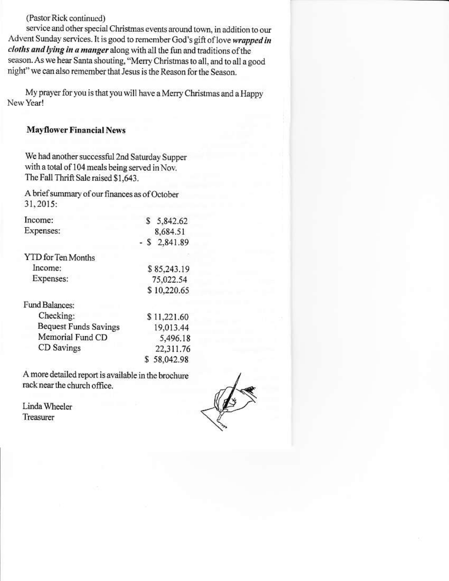(Pastor Rick continued)

service and other special Christmas events around town, in addition to our Advent Sunday services. It is good to remember God's gift of love wrapped in cloths and lying in a manger along with all the fun and traditions of the season. As we hear Santa shouting, "Merry Christmas to all, and to all a good night" we can also remember that Jesus is the Reason for the Season.

My prayer for you is that you will have a Merry Christmas and a Happy New Year!

# **Mayflower Financial News**

We had another successful 2nd Saturday Supper with a total of 104 meals being served in Nov. The Fall Thrift Sale raised \$1,643.

A brief summary of our finances as of October 31, 2015:

| Income:                      | S           | 5,842.62    |
|------------------------------|-------------|-------------|
| Expenses:                    |             | 8,684.51    |
|                              | - S         | 2,841.89    |
| YTD for Ten Months           |             |             |
| Income:                      | \$85,243.19 |             |
| Expenses:                    | 75,022.54   |             |
|                              | \$10,220.65 |             |
| <b>Fund Balances:</b>        |             |             |
| Checking:                    |             | \$11,221.60 |
| <b>Bequest Funds Savings</b> | 19,013.44   |             |
| Memorial Fund CD             | 5,496.18    |             |
| CD Savings                   |             | 22,311.76   |
|                              |             | 58,042.98   |

A more detailed report is available in the brochure rack near the church office.

Linda Wheeler Treasurer

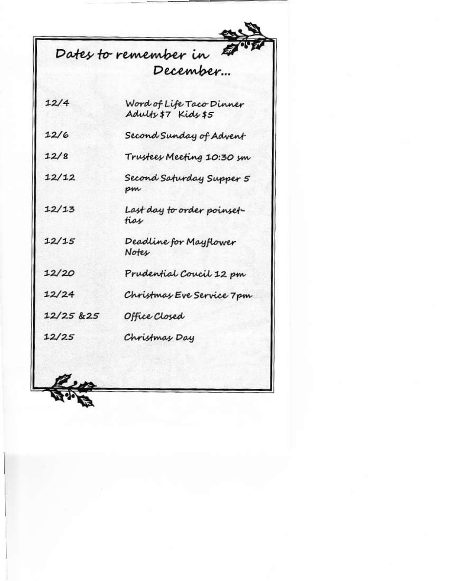# Dates to remember in

| 12/4       | Word of Life Taco Dinner<br>Adulfs \$7 Kids \$5 |
|------------|-------------------------------------------------|
| 12/6       | Second Sunday of Advent                         |
| 12/8       | Trustees Meeting 10:30 sm                       |
| 12/12      | Second Saturday Supper 5<br>pm                  |
| 12/13      | Last day to order poinset-<br>tias              |
| 12/15      | Deadline for Mayflower<br>No <del>t</del> es    |
| 12/20      | Prudential Coucil 12 pm                         |
| 12/24      | Christmas Eve Service 7 pm                      |
| 12/25 & 25 | Office Closed                                   |
| 12/25      | Christmas Day                                   |
|            |                                                 |

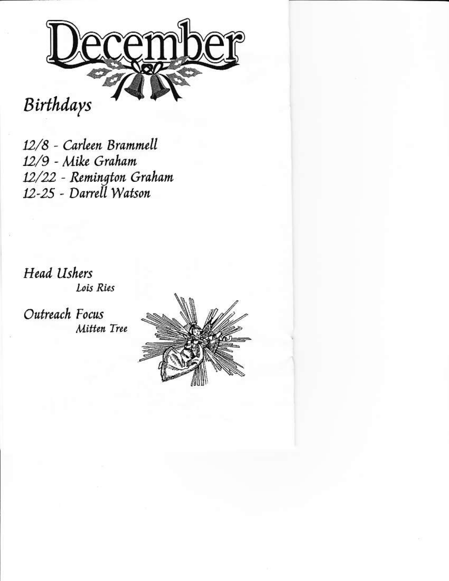Birthdays

12/8 - Carleen Brammell 12/9 - Mike Graham 12/22 - Remington Graham 12-25 - Darrell Watson

**Head Ushers** Lois Ries

Outreach Focus Mitten Tree

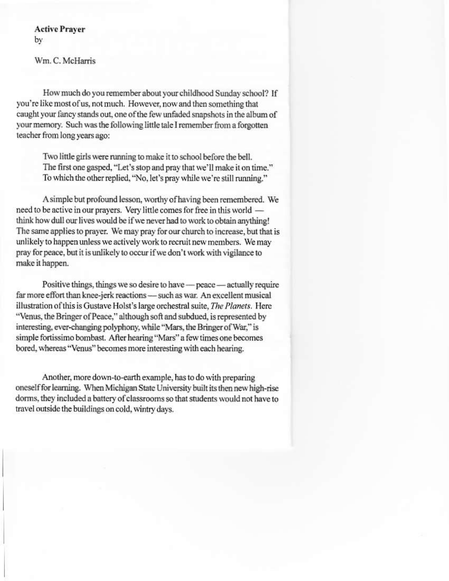**Active Prayer** by

Wm. C. McHarris

How much do you remember about your childhood Sunday school? If you're like most of us, not much. However, now and then something that caught your fancy stands out, one of the few unfaded snapshots in the album of your memory. Such was the following little tale I remember from a forgotten teacher from long years ago:

Two little girls were running to make it to school before the bell. The first one gasped, "Let's stop and pray that we'll make it on time." To which the other replied, "No, let's pray while we're still running."

A simple but profound lesson, worthy of having been remembered. We need to be active in our prayers. Very little comes for free in this world think how dull our lives would be if we never had to work to obtain anything! The same applies to prayer. We may pray for our church to increase, but that is unlikely to happen unless we actively work to recruit new members. We may pray for peace, but it is unlikely to occur if we don't work with vigilance to make it happen.

Positive things, things we so desire to have - peace - actually require far more effort than knee-jerk reactions - such as war. An excellent musical illustration of this is Gustave Holst's large orchestral suite, The Planets. Here "Venus, the Bringer of Peace," although soft and subdued, is represented by interesting, ever-changing polyphony, while "Mars, the Bringer of War," is simple fortissimo bombast. After hearing "Mars" a few times one becomes bored, whereas "Venus" becomes more interesting with each hearing.

Another, more down-to-earth example, has to do with preparing oneself for learning. When Michigan State University built its then new high-rise dorms, they included a battery of classrooms so that students would not have to travel outside the buildings on cold, wintry days.